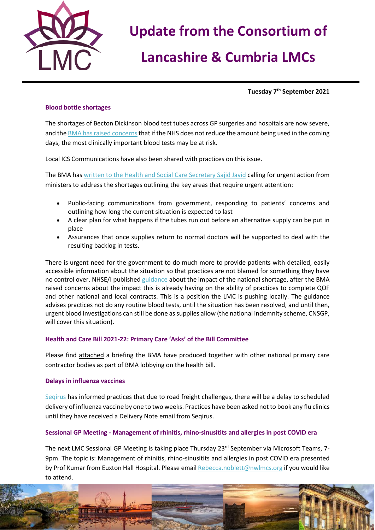

# **Update from the Consortium of**

# **Lancashire & Cumbria LMCs**

**Tuesday 7 th September 2021**

### **Blood bottle shortages**

The shortages of Becton Dickinson blood test tubes across GP surgeries and hospitals are now severe, and th[e BMA has raised concerns](https://www.bma.org.uk/bma-media-centre/bma-says-doctors-will-have-to-make-very-difficult-choices-about-which-patients-get-blood-tests-as-the-shortage-of-blood-tubes-worsens) that if the NHS does not reduce the amount being used in the coming days, the most clinically important blood tests may be at risk.

Local ICS Communications have also been shared with practices on this issue.

The BMA has [written to the Health and Social Care Secretary Sajid Javid](https://www.bma.org.uk/bma-media-centre/bma-urges-government-to-take-responsibility-for-dealing-with-blood-bottles-shortages) calling for urgent action from ministers to address the shortages outlining the key areas that require urgent attention:

- Public-facing communications from government, responding to patients' concerns and outlining how long the current situation is expected to last
- A clear plan for what happens if the tubes run out before an alternative supply can be put in place
- Assurances that once supplies return to normal doctors will be supported to deal with the resulting backlog in tests.

There is urgent need for the government to do much more to provide patients with detailed, easily accessible information about the situation so that practices are not blamed for something they have no control over. NHSE/I published [guidance](https://www.england.nhs.uk/wp-content/uploads/2021/08/B0933-bd-blood-collection-supply-disruption-v2.pdf) about the impact of the national shortage, after the BMA raised concerns about the impact this is already having on the ability of practices to complete QOF and other national and local contracts. This is a position the LMC is pushing locally. The guidance advises practices not do any routine blood tests, until the situation has been resolved, and until then, urgent blood investigations can still be done as supplies allow (the national indemnity scheme, CNSGP, will cover this situation).

#### **Health and Care Bill 2021-22: Primary Care 'Asks' of the Bill Committee**

Please find attached a briefing the BMA have produced together with other national primary care contractor bodies as part of BMA lobbying on the health bill.

#### **Delays in influenza vaccines**

[Seqirus](https://www.seqirus.com/) has informed practices that due to road freight challenges, there will be a delay to scheduled delivery of influenza vaccine by one to two weeks. Practices have been asked not to book any flu clinics until they have received a Delivery Note email from Seqirus.

### **Sessional GP Meeting - Management of rhinitis, rhino-sinusitits and allergies in post COVID era**

The next LMC Sessional GP Meeting is taking place Thursday 23<sup>rd</sup> September via Microsoft Teams, 7-9pm. The topic is: Management of rhinitis, rhino-sinusitits and allergies in post COVID era presented by Prof Kumar from Euxton Hall Hospital. Please emai[l Rebecca.noblett@nwlmcs.org](mailto:Rebecca.noblett@nwlmcs.org) if you would like to attend.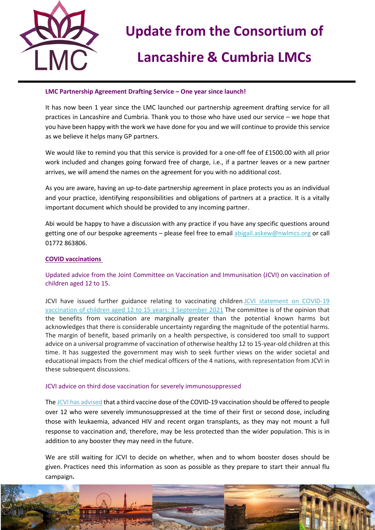

## **Update from the Consortium of**

# **Lancashire & Cumbria LMCs**

#### **LMC Partnership Agreement Drafting Service – One year since launch!**

It has now been 1 year since the LMC launched our partnership agreement drafting service for all practices in Lancashire and Cumbria. Thank you to those who have used our service – we hope that you have been happy with the work we have done for you and we will continue to provide this service as we believe it helps many GP partners.

We would like to remind you that this service is provided for a one-off fee of £1500.00 with all prior work included and changes going forward free of charge, i.e., if a partner leaves or a new partner arrives, we will amend the names on the agreement for you with no additional cost.

As you are aware, having an up-to-date partnership agreement in place protects you as an individual and your practice, identifying responsibilities and obligations of partners at a practice. It is a vitally important document which should be provided to any incoming partner.

Abi would be happy to have a discussion with any practice if you have any specific questions around getting one of our bespoke agreements – please feel free to email [abigail.askew@nwlmcs.org](mailto:abigail.askew@nwlmcs.org) or call 01772 863806.

### **COVID vaccinations**

Updated advice from the Joint Committee on Vaccination and Immunisation (JCVI) on vaccination of children aged 12 to 15.

JCVI have issued further guidance relating to vaccinating children JCVI statement on COVID-19 [vaccination of children aged 12 to 15 years: 3 September 2021](https://bit.ly/3n1TXx4) The committee is of the opinion that the benefits from vaccination are marginally greater than the potential known harms but acknowledges that there is considerable uncertainty regarding the magnitude of the potential harms. The margin of benefit, based primarily on a health perspective, is considered too small to support advice on a universal programme of vaccination of otherwise healthy 12 to 15-year-old children at this time. It has suggested the government may wish to seek further views on the wider societal and educational impacts from the chief medical officers of the 4 nations, with representation from JCVI in these subsequent discussions.

#### JCVI advice on third dose vaccination for severely immunosuppressed

Th[e JCVI has advised](https://www.gov.uk/government/news/jcvi-issues-advice-on-third-dose-vaccination-for-severely-immunosuppressed) that a third vaccine dose of the COVID-19 vaccination should be offered to people over 12 who were severely immunosuppressed at the time of their first or second dose, including those with leukaemia, advanced HIV and recent organ transplants, as they may not mount a full response to vaccination and, therefore, may be less protected than the wider population. This is in addition to any booster they may need in the future.

We are still waiting for JCVI to decide on whether, when and to whom booster doses should be given. Practices need this information as soon as possible as they prepare to start their annual flu campaign**.**